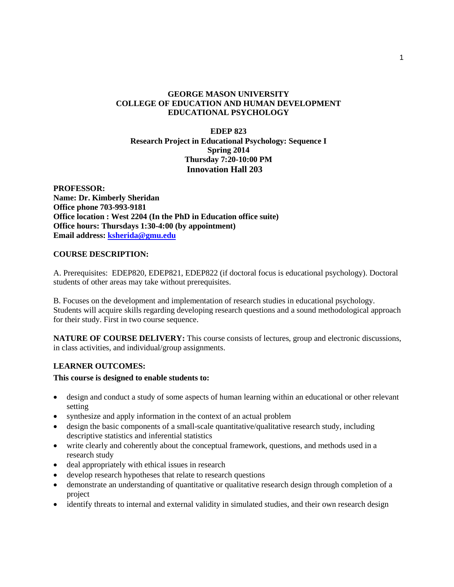# **GEORGE MASON UNIVERSITY COLLEGE OF EDUCATION AND HUMAN DEVELOPMENT EDUCATIONAL PSYCHOLOGY**

## **EDEP 823 Research Project in Educational Psychology: Sequence I Spring 2014 Thursday 7:20-10:00 PM Innovation Hall 203**

**PROFESSOR: Name: Dr. Kimberly Sheridan Office phone 703-993-9181 Office location : West 2204 (In the PhD in Education office suite) Office hours: Thursdays 1:30-4:00 (by appointment) Email address: [ksherida@gmu.edu](mailto:ksherida@gmu.edu)**

# **COURSE DESCRIPTION:**

A. Prerequisites: EDEP820, EDEP821, EDEP822 (if doctoral focus is educational psychology). Doctoral students of other areas may take without prerequisites.

B. Focuses on the development and implementation of research studies in educational psychology. Students will acquire skills regarding developing research questions and a sound methodological approach for their study. First in two course sequence.

**NATURE OF COURSE DELIVERY:** This course consists of lectures, group and electronic discussions, in class activities, and individual/group assignments.

# **LEARNER OUTCOMES:**

# **This course is designed to enable students to:**

- design and conduct a study of some aspects of human learning within an educational or other relevant setting
- synthesize and apply information in the context of an actual problem
- design the basic components of a small-scale quantitative/qualitative research study, including descriptive statistics and inferential statistics
- write clearly and coherently about the conceptual framework, questions, and methods used in a research study
- deal appropriately with ethical issues in research
- develop research hypotheses that relate to research questions
- demonstrate an understanding of quantitative or qualitative research design through completion of a project
- identify threats to internal and external validity in simulated studies, and their own research design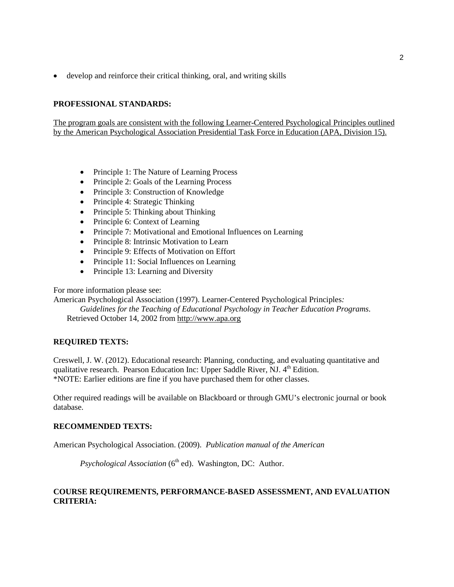• develop and reinforce their critical thinking, oral, and writing skills

# **PROFESSIONAL STANDARDS:**

The program goals are consistent with the following Learner-Centered Psychological Principles outlined by the American Psychological Association Presidential Task Force in Education (APA, Division 15).

- Principle 1: The Nature of Learning Process
- Principle 2: Goals of the Learning Process
- Principle 3: Construction of Knowledge
- Principle 4: Strategic Thinking
- Principle 5: Thinking about Thinking
- Principle 6: Context of Learning
- Principle 7: Motivational and Emotional Influences on Learning
- Principle 8: Intrinsic Motivation to Learn
- Principle 9: Effects of Motivation on Effort
- Principle 11: Social Influences on Learning
- Principle 13: Learning and Diversity

For more information please see:

American Psychological Association (1997). Learner-Centered Psychological Principles*:* 

*Guidelines for the Teaching of Educational Psychology in Teacher Education Programs*. Retrieved October 14, 2002 from [http://www.apa.org](http://www.apa.org/)

# **REQUIRED TEXTS:**

Creswell, J. W. (2012). Educational research: Planning, conducting, and evaluating quantitative and qualitative research. Pearson Education Inc: Upper Saddle River, NJ.  $4<sup>th</sup>$  Edition. \*NOTE: Earlier editions are fine if you have purchased them for other classes.

Other required readings will be available on Blackboard or through GMU's electronic journal or book database.

# **RECOMMENDED TEXTS:**

American Psychological Association. (2009). *Publication manual of the American* 

*Psychological Association* (6<sup>th</sup> ed). Washington, DC: Author.

# **COURSE REQUIREMENTS, PERFORMANCE-BASED ASSESSMENT, AND EVALUATION CRITERIA:**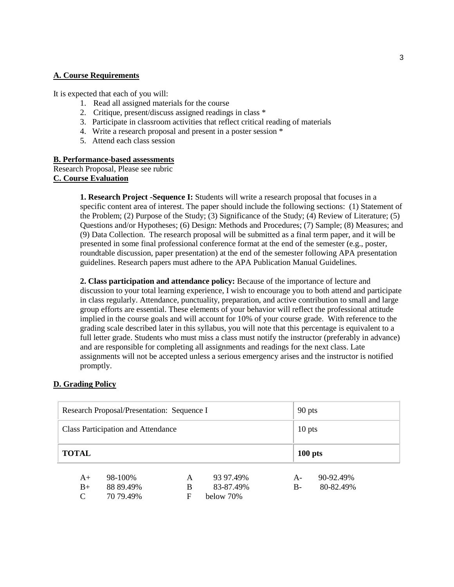### **A. Course Requirements**

It is expected that each of you will:

- 1. Read all assigned materials for the course
- 2. Critique, present/discuss assigned readings in class \*
- 3. Participate in classroom activities that reflect critical reading of materials
- 4. Write a research proposal and present in a poster session \*
- 5. Attend each class session

## **B. Performance-based assessments**

Research Proposal, Please see rubric **C. Course Evaluation**

> **1. Research Project -Sequence I:** Students will write a research proposal that focuses in a specific content area of interest. The paper should include the following sections: (1) Statement of the Problem; (2) Purpose of the Study; (3) Significance of the Study; (4) Review of Literature; (5) Questions and/or Hypotheses; (6) Design: Methods and Procedures; (7) Sample; (8) Measures; and (9) Data Collection. The research proposal will be submitted as a final term paper, and it will be presented in some final professional conference format at the end of the semester (e.g., poster, roundtable discussion, paper presentation) at the end of the semester following APA presentation guidelines. Research papers must adhere to the APA Publication Manual Guidelines.

> **2. Class participation and attendance policy:** Because of the importance of lecture and discussion to your total learning experience, I wish to encourage you to both attend and participate in class regularly. Attendance, punctuality, preparation, and active contribution to small and large group efforts are essential. These elements of your behavior will reflect the professional attitude implied in the course goals and will account for 10% of your course grade. With reference to the grading scale described later in this syllabus, you will note that this percentage is equivalent to a full letter grade. Students who must miss a class must notify the instructor (preferably in advance) and are responsible for completing all assignments and readings for the next class. Late assignments will not be accepted unless a serious emergency arises and the instructor is notified promptly.

# **D. Grading Policy**

| Research Proposal/Presentation: Sequence I |                      |        |                        |              | 90 pts                 |  |  |
|--------------------------------------------|----------------------|--------|------------------------|--------------|------------------------|--|--|
| <b>Class Participation and Attendance</b>  |                      |        |                        |              | $10$ pts               |  |  |
| <b>TOTAL</b>                               |                      |        |                        | $100$ pts    |                        |  |  |
| $A+$<br>$B+$                               | 98-100%<br>88 89.49% | A<br>B | 93 97.49%<br>83-87.49% | $A-$<br>$B-$ | 90-92.49%<br>80-82.49% |  |  |
| C                                          | 70 79.49%            | F      | below 70%              |              |                        |  |  |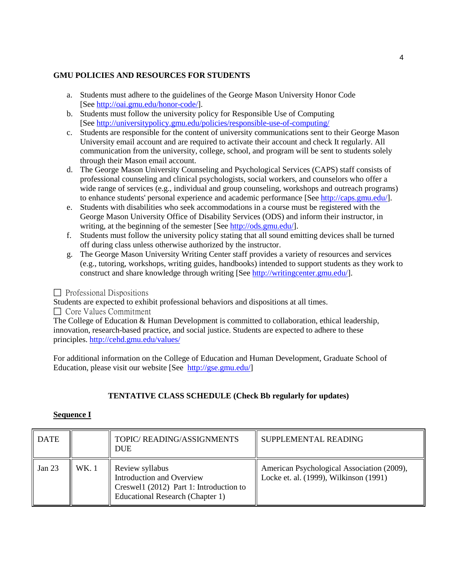# **GMU POLICIES AND RESOURCES FOR STUDENTS**

- a. Students must adhere to the guidelines of the George Mason University Honor Code [See [http://oai.gmu.edu/honor-code/\]](http://oai.gmu.edu/honor-code).
- b. Students must follow the university policy for Responsible Use of Computing [See [http://universitypolicy.gmu.edu/policies/responsible-use-of-computing/](http://universitypolicy.gmu.edu/1301gen.html)
- c. Students are responsible for the content of university communications sent to their George Mason University email account and are required to activate their account and check It regularly. All communication from the university, college, school, and program will be sent to students solely through their Mason email account.
- d. The George Mason University Counseling and Psychological Services (CAPS) staff consists of professional counseling and clinical psychologists, social workers, and counselors who offer a wide range of services (e.g., individual and group counseling, workshops and outreach programs) to enhance students' personal experience and academic performance [See [http://caps.gmu.edu/\]](http://caps.gmu.edu/).
- e. Students with disabilities who seek accommodations in a course must be registered with the George Mason University Office of Disability Services (ODS) and inform their instructor, in writing, at the beginning of the semester [See [http://ods.gmu.edu/\]](http://ods.gmu.edu/).
- f. Students must follow the university policy stating that all sound emitting devices shall be turned off during class unless otherwise authorized by the instructor.
- g. The George Mason University Writing Center staff provides a variety of resources and services (e.g., tutoring, workshops, writing guides, handbooks) intended to support students as they work to construct and share knowledge through writing [See [http://writingcenter.gmu.edu/\]](http://writingcenter.gmu.edu/).

 $\Box$  Professional Dispositions

Students are expected to exhibit professional behaviors and dispositions at all times.

 $\Box$  Core Values Commitment

The College of Education & Human Development is committed to collaboration, ethical leadership, innovation, research-based practice, and social justice. Students are expected to adhere to these principles.<http://cehd.gmu.edu/values/>

For additional information on the College of Education and Human Development, Graduate School of Education, please visit our website [See [http://gse.gmu.edu/\]](http://gse.gmu.edu/)

# **TENTATIVE CLASS SCHEDULE (Check Bb regularly for updates)**

# **Sequence I**

| <b>DATE</b> |       | TOPIC/ READING/ASSIGNMENTS<br><b>DUE</b>                                                                                    | SUPPLEMENTAL READING                                                                 |
|-------------|-------|-----------------------------------------------------------------------------------------------------------------------------|--------------------------------------------------------------------------------------|
| Jan 23      | WK. 1 | Review syllabus<br>Introduction and Overview<br>Creswell (2012) Part 1: Introduction to<br>Educational Research (Chapter 1) | American Psychological Association (2009),<br>Locke et. al. (1999), Wilkinson (1991) |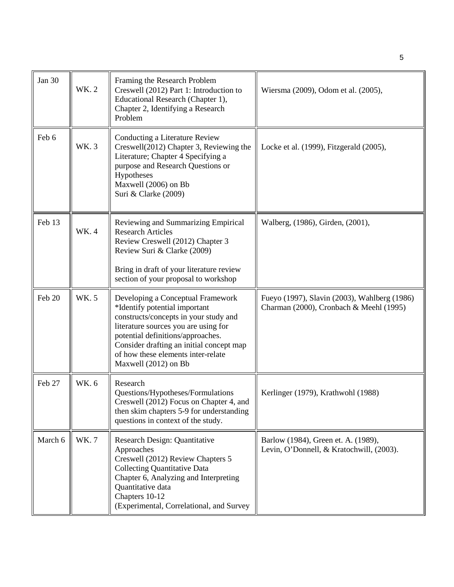| <b>Jan 30</b> | WK. 2       | Framing the Research Problem<br>Creswell (2012) Part 1: Introduction to<br>Educational Research (Chapter 1),<br>Chapter 2, Identifying a Research<br>Problem                                                                                                                                       | Wiersma (2009), Odom et al. (2005),                                                     |
|---------------|-------------|----------------------------------------------------------------------------------------------------------------------------------------------------------------------------------------------------------------------------------------------------------------------------------------------------|-----------------------------------------------------------------------------------------|
| Feb 6         | WK. 3       | Conducting a Literature Review<br>Creswell(2012) Chapter 3, Reviewing the<br>Literature; Chapter 4 Specifying a<br>purpose and Research Questions or<br>Hypotheses<br>Maxwell (2006) on Bb<br>Suri & Clarke (2009)                                                                                 | Locke et al. (1999), Fitzgerald (2005),                                                 |
| Feb 13        | WK. 4       | Reviewing and Summarizing Empirical<br><b>Research Articles</b><br>Review Creswell (2012) Chapter 3<br>Review Suri & Clarke (2009)<br>Bring in draft of your literature review<br>section of your proposal to workshop                                                                             | Walberg, (1986), Girden, (2001),                                                        |
| Feb 20        | WK. 5       | Developing a Conceptual Framework<br>*Identify potential important<br>constructs/concepts in your study and<br>literature sources you are using for<br>potential definitions/approaches.<br>Consider drafting an initial concept map<br>of how these elements inter-relate<br>Maxwell (2012) on Bb | Fueyo (1997), Slavin (2003), Wahlberg (1986)<br>Charman (2000), Cronbach & Meehl (1995) |
| Feb 27        | <b>WK.6</b> | Research<br>Questions/Hypotheses/Formulations<br>Creswell (2012) Focus on Chapter 4, and<br>then skim chapters 5-9 for understanding<br>questions in context of the study.                                                                                                                         | Kerlinger (1979), Krathwohl (1988)                                                      |
| March 6       | WK. 7       | Research Design: Quantitative<br>Approaches<br>Creswell (2012) Review Chapters 5<br><b>Collecting Quantitative Data</b><br>Chapter 6, Analyzing and Interpreting<br>Quantitative data<br>Chapters 10-12<br>(Experimental, Correlational, and Survey                                                | Barlow (1984), Green et. A. (1989),<br>Levin, O'Donnell, & Kratochwill, (2003).         |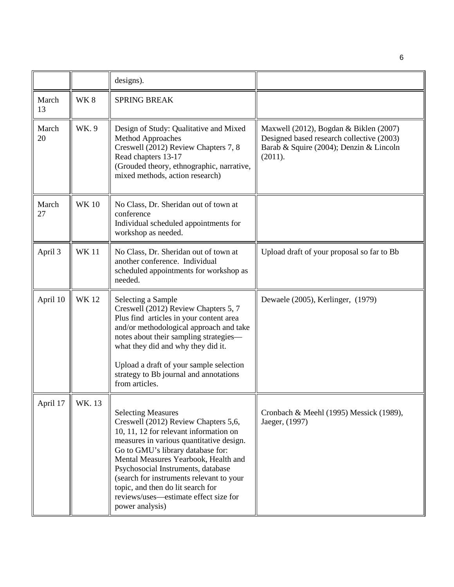|             |             | designs).                                                                                                                                                                                                                                                                                                                                                                                                               |                                                                                                                                           |
|-------------|-------------|-------------------------------------------------------------------------------------------------------------------------------------------------------------------------------------------------------------------------------------------------------------------------------------------------------------------------------------------------------------------------------------------------------------------------|-------------------------------------------------------------------------------------------------------------------------------------------|
| March<br>13 | WK8         | <b>SPRING BREAK</b>                                                                                                                                                                                                                                                                                                                                                                                                     |                                                                                                                                           |
| March<br>20 | WK.9        | Design of Study: Qualitative and Mixed<br><b>Method Approaches</b><br>Creswell (2012) Review Chapters 7, 8<br>Read chapters 13-17<br>(Grouded theory, ethnographic, narrative,<br>mixed methods, action research)                                                                                                                                                                                                       | Maxwell (2012), Bogdan & Biklen (2007)<br>Designed based research collective (2003)<br>Barab & Squire (2004); Denzin & Lincoln<br>(2011). |
| March<br>27 | <b>WK10</b> | No Class, Dr. Sheridan out of town at<br>conference<br>Individual scheduled appointments for<br>workshop as needed.                                                                                                                                                                                                                                                                                                     |                                                                                                                                           |
| April 3     | <b>WK11</b> | No Class, Dr. Sheridan out of town at<br>another conference. Individual<br>scheduled appointments for workshop as<br>needed.                                                                                                                                                                                                                                                                                            | Upload draft of your proposal so far to Bb                                                                                                |
| April 10    | <b>WK12</b> | Selecting a Sample<br>Creswell (2012) Review Chapters 5, 7<br>Plus find articles in your content area<br>and/or methodological approach and take<br>notes about their sampling strategies-<br>what they did and why they did it.<br>Upload a draft of your sample selection<br>strategy to Bb journal and annotations<br>from articles.                                                                                 | Dewaele (2005), Kerlinger, (1979)                                                                                                         |
| April 17    | WK. 13      | <b>Selecting Measures</b><br>Creswell (2012) Review Chapters 5,6,<br>10, 11, 12 for relevant information on<br>measures in various quantitative design.<br>Go to GMU's library database for:<br>Mental Measures Yearbook, Health and<br>Psychosocial Instruments, database<br>(search for instruments relevant to your<br>topic, and then do lit search for<br>reviews/uses—estimate effect size for<br>power analysis) | Cronbach & Meehl (1995) Messick (1989),<br>Jaeger, (1997)                                                                                 |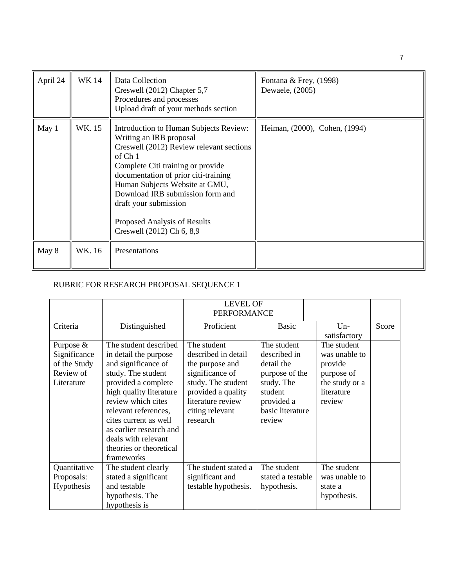| April 24 | <b>WK14</b> | Data Collection<br>Creswell (2012) Chapter 5,7<br>Procedures and processes<br>Upload draft of your methods section                                                                                                                                                                                                                                                           | Fontana & Frey, (1998)<br>Dewaele, (2005) |
|----------|-------------|------------------------------------------------------------------------------------------------------------------------------------------------------------------------------------------------------------------------------------------------------------------------------------------------------------------------------------------------------------------------------|-------------------------------------------|
| May 1    | WK. 15      | Introduction to Human Subjects Review:<br>Writing an IRB proposal<br>Creswell (2012) Review relevant sections<br>of Ch <sub>1</sub><br>Complete Citi training or provide<br>documentation of prior citi-training<br>Human Subjects Website at GMU,<br>Download IRB submission form and<br>draft your submission<br>Proposed Analysis of Results<br>Creswell (2012) Ch 6, 8,9 | Heiman, (2000), Cohen, (1994)             |
| May 8    | WK. 16      | Presentations                                                                                                                                                                                                                                                                                                                                                                |                                           |

# RUBRIC FOR RESEARCH PROPOSAL SEQUENCE 1

|                                                                        |                                                                                                                                                                                                                                                                                                                 | <b>LEVEL OF</b><br><b>PERFORMANCE</b>                                                                                                                                    |                                                                                                                                  |                                                                                                 |       |
|------------------------------------------------------------------------|-----------------------------------------------------------------------------------------------------------------------------------------------------------------------------------------------------------------------------------------------------------------------------------------------------------------|--------------------------------------------------------------------------------------------------------------------------------------------------------------------------|----------------------------------------------------------------------------------------------------------------------------------|-------------------------------------------------------------------------------------------------|-------|
| Criteria                                                               | Distinguished                                                                                                                                                                                                                                                                                                   | Proficient                                                                                                                                                               | <b>Basic</b>                                                                                                                     | $Un-$<br>satisfactory                                                                           | Score |
| Purpose $&$<br>Significance<br>of the Study<br>Review of<br>Literature | The student described<br>in detail the purpose<br>and significance of<br>study. The student<br>provided a complete<br>high quality literature<br>review which cites<br>relevant references,<br>cites current as well<br>as earlier research and<br>deals with relevant<br>theories or theoretical<br>frameworks | The student<br>described in detail<br>the purpose and<br>significance of<br>study. The student<br>provided a quality<br>literature review<br>citing relevant<br>research | The student<br>described in<br>detail the<br>purpose of the<br>study. The<br>student<br>provided a<br>basic literature<br>review | The student<br>was unable to<br>provide<br>purpose of<br>the study or a<br>literature<br>review |       |
| Quantitative<br>Proposals:<br>Hypothesis                               | The student clearly<br>stated a significant<br>and testable<br>hypothesis. The<br>hypothesis is                                                                                                                                                                                                                 | The student stated a<br>significant and<br>testable hypothesis.                                                                                                          | The student<br>stated a testable<br>hypothesis.                                                                                  | The student<br>was unable to<br>state a<br>hypothesis.                                          |       |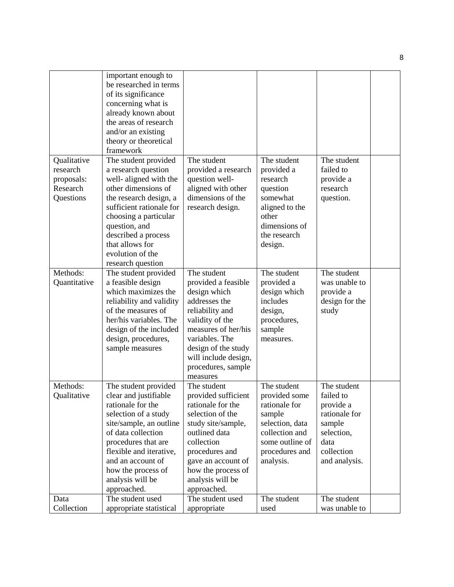|                                                                | important enough to<br>be researched in terms<br>of its significance<br>concerning what is<br>already known about<br>the areas of research<br>and/or an existing<br>theory or theoretical<br>framework                                                                         |                                                                                                                                                                                                                                     |                                                                                                                                                |                                                                                                                       |  |
|----------------------------------------------------------------|--------------------------------------------------------------------------------------------------------------------------------------------------------------------------------------------------------------------------------------------------------------------------------|-------------------------------------------------------------------------------------------------------------------------------------------------------------------------------------------------------------------------------------|------------------------------------------------------------------------------------------------------------------------------------------------|-----------------------------------------------------------------------------------------------------------------------|--|
| Qualitative<br>research<br>proposals:<br>Research<br>Questions | The student provided<br>a research question<br>well-aligned with the<br>other dimensions of<br>the research design, a<br>sufficient rationale for<br>choosing a particular<br>question, and<br>described a process<br>that allows for<br>evolution of the<br>research question | The student<br>provided a research<br>question well-<br>aligned with other<br>dimensions of the<br>research design.                                                                                                                 | The student<br>provided a<br>research<br>question<br>somewhat<br>aligned to the<br>other<br>dimensions of<br>the research<br>design.           | The student<br>failed to<br>provide a<br>research<br>question.                                                        |  |
| Methods:<br>Quantitative                                       | The student provided<br>a feasible design<br>which maximizes the<br>reliability and validity<br>of the measures of<br>her/his variables. The<br>design of the included<br>design, procedures,<br>sample measures                                                               | The student<br>provided a feasible<br>design which<br>addresses the<br>reliability and<br>validity of the<br>measures of her/his<br>variables. The<br>design of the study<br>will include design,<br>procedures, sample<br>measures | The student<br>provided a<br>design which<br>includes<br>design,<br>procedures,<br>sample<br>measures.                                         | The student<br>was unable to<br>provide a<br>design for the<br>study                                                  |  |
| Methods:<br>Qualitative                                        | The student provided<br>clear and justifiable<br>rationale for the<br>selection of a study<br>site/sample, an outline<br>of data collection<br>procedures that are<br>flexible and iterative,<br>and an account of<br>how the process of<br>analysis will be<br>approached.    | The student<br>provided sufficient<br>rationale for the<br>selection of the<br>study site/sample,<br>outlined data<br>collection<br>procedures and<br>gave an account of<br>how the process of<br>analysis will be<br>approached.   | The student<br>provided some<br>rationale for<br>sample<br>selection, data<br>collection and<br>some outline of<br>procedures and<br>analysis. | The student<br>failed to<br>provide a<br>rationale for<br>sample<br>selection,<br>data<br>collection<br>and analysis. |  |
| Data<br>Collection                                             | The student used<br>appropriate statistical                                                                                                                                                                                                                                    | The student used<br>appropriate                                                                                                                                                                                                     | The student<br>used                                                                                                                            | The student<br>was unable to                                                                                          |  |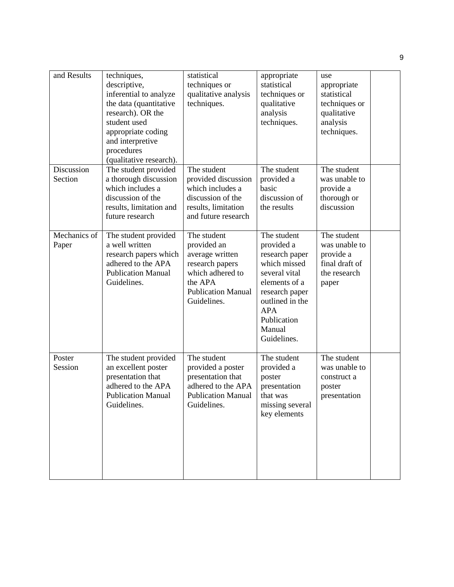| and Results           | techniques,<br>descriptive,<br>inferential to analyze<br>the data (quantitative<br>research). OR the<br>student used<br>appropriate coding<br>and interpretive<br>procedures<br>(qualitative research). | statistical<br>techniques or<br>qualitative analysis<br>techniques.                                                                         | appropriate<br>statistical<br>techniques or<br>qualitative<br>analysis<br>techniques.                                                                                                    | use<br>appropriate<br>statistical<br>techniques or<br>qualitative<br>analysis<br>techniques. |  |
|-----------------------|---------------------------------------------------------------------------------------------------------------------------------------------------------------------------------------------------------|---------------------------------------------------------------------------------------------------------------------------------------------|------------------------------------------------------------------------------------------------------------------------------------------------------------------------------------------|----------------------------------------------------------------------------------------------|--|
| Discussion<br>Section | The student provided<br>a thorough discussion<br>which includes a<br>discussion of the<br>results, limitation and<br>future research                                                                    | The student<br>provided discussion<br>which includes a<br>discussion of the<br>results, limitation<br>and future research                   | The student<br>provided a<br>basic<br>discussion of<br>the results                                                                                                                       | The student<br>was unable to<br>provide a<br>thorough or<br>discussion                       |  |
| Mechanics of<br>Paper | The student provided<br>a well written<br>research papers which<br>adhered to the APA<br><b>Publication Manual</b><br>Guidelines.                                                                       | The student<br>provided an<br>average written<br>research papers<br>which adhered to<br>the APA<br><b>Publication Manual</b><br>Guidelines. | The student<br>provided a<br>research paper<br>which missed<br>several vital<br>elements of a<br>research paper<br>outlined in the<br><b>APA</b><br>Publication<br>Manual<br>Guidelines. | The student<br>was unable to<br>provide a<br>final draft of<br>the research<br>paper         |  |
| Poster<br>Session     | The student provided<br>an excellent poster<br>presentation that<br>adhered to the APA<br><b>Publication Manual</b><br>Guidelines.                                                                      | The student<br>provided a poster<br>presentation that<br>adhered to the APA<br><b>Publication Manual</b><br>Guidelines.                     | The student<br>provided a<br>poster<br>presentation<br>that was<br>missing several<br>key elements                                                                                       | The student<br>was unable to<br>construct a<br>poster<br>presentation                        |  |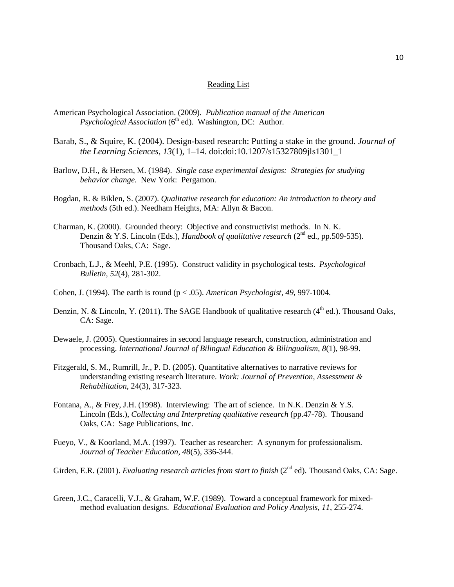#### Reading List

- American Psychological Association. (2009). *Publication manual of the American Psychological Association* (6<sup>th</sup> ed). Washington, DC: Author.
- Barab, S., & Squire, K. (2004). Design-based research: Putting a stake in the ground. *Journal of the Learning Sciences*, *13*(1), 1–14. doi:doi:10.1207/s15327809jls1301\_1
- Barlow, D.H., & Hersen, M. (1984). *Single case experimental designs: Strategies for studying behavior change.* New York: Pergamon.
- Bogdan, R. & Biklen, S. (2007). *Qualitative research for education: An introduction to theory and methods* (5th ed.). Needham Heights, MA: Allyn & Bacon.
- Charman, K. (2000). Grounded theory: Objective and constructivist methods. In N. K. Denzin & Y.S. Lincoln (Eds.), *Handbook of qualitative research* (2nd ed., pp.509-535). Thousand Oaks, CA: Sage.
- Cronbach, L.J., & Meehl, P.E. (1995). Construct validity in psychological tests. *Psychological Bulletin, 52*(4), 281-302.
- Cohen, J. (1994). The earth is round (p < .05). *American Psychologist, 49*, 997-1004.
- Denzin, N. & Lincoln, Y. (2011). The SAGE Handbook of qualitative research ( $4<sup>th</sup>$  ed.). Thousand Oaks, CA: Sage.
- Dewaele, J. (2005). Questionnaires in second language research, construction, administration and processing. *International Journal of Bilingual Education & Bilingualism, 8*(1), 98-99.
- Fitzgerald, S. M., Rumrill, Jr., P. D. (2005). Quantitative alternatives to narrative reviews for understanding existing research literature. *Work: Journal of Prevention, Assessment & Rehabilitation*, 24(3), 317-323.
- Fontana, A., & Frey, J.H. (1998). Interviewing: The art of science. In N.K. Denzin & Y.S. Lincoln (Eds.), *Collecting and Interpreting qualitative research* (pp.47-78). Thousand Oaks, CA: Sage Publications, Inc.
- Fueyo, V., & Koorland, M.A. (1997). Teacher as researcher: A synonym for professionalism. *Journal of Teacher Education, 48*(5), 336-344.
- Girden, E.R. (2001). *Evaluating research articles from start to finish* (2<sup>nd</sup> ed). Thousand Oaks, CA: Sage.
- Green, J.C., Caracelli, V.J., & Graham, W.F. (1989). Toward a conceptual framework for mixedmethod evaluation designs. *Educational Evaluation and Policy Analysis, 11*, 255-274.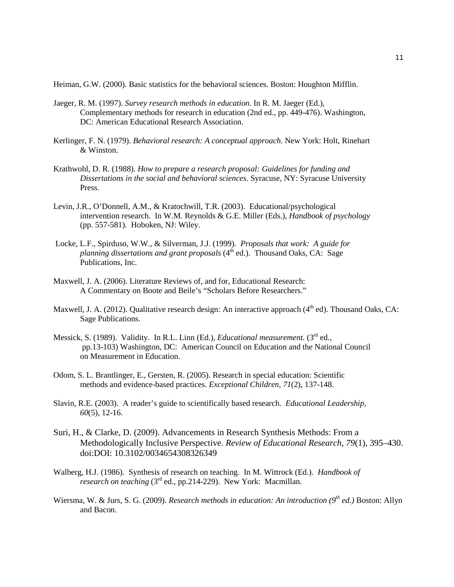Heiman, G.W. (2000). Basic statistics for the behavioral sciences. Boston: Houghton Mifflin.

- Jaeger, R. M. (1997). *Survey research methods in education*. In R. M. Jaeger (Ed.), Complementary methods for research in education (2nd ed., pp. 449-476). Washington, DC: American Educational Research Association.
- Kerlinger, F. N. (1979). *Behavioral research: A conceptual approach.* New York: Holt, Rinehart & Winston.
- Krathwohl, D. R. (1988). *How to prepare a research proposal: Guidelines for funding and Dissertations in the social and behavioral sciences.* Syracuse, NY: Syracuse University Press.
- Levin, J.R., O'Donnell, A.M., & Kratochwill, T.R. (2003). Educational/psychological intervention research. In W.M. Reynolds & G.E. Miller (Eds.), *Handbook of psychology* (pp. 557-581). Hoboken, NJ: Wiley.
- Locke, L.F., Spirduso, W.W., & Silverman, J.J. (1999). *Proposals that work: A guide for planning dissertations and grant proposals* (4<sup>th</sup> ed.). Thousand Oaks, CA: Sage Publications, Inc.
- Maxwell, J. A. (2006). Literature Reviews of, and for, Educational Research: A Commentary on Boote and Beile's "Scholars Before Researchers."
- Maxwell, J. A. (2012). Qualitative research design: An interactive approach ( $4<sup>th</sup>$  ed). Thousand Oaks, CA: Sage Publications.
- Messick, S. (1989). Validity. In R.L. Linn (Ed.), *Educational measurement*. (3<sup>rd</sup> ed., pp.13-103) Washington, DC: American Council on Education and the National Council on Measurement in Education.
- Odom, S. L. Brantlinger, E., Gersten, R. (2005). Research in special education: Scientific methods and evidence-based practices. *Exceptional Children, 71*(2), 137-148.
- Slavin, R.E. (2003). A reader's guide to scientifically based research. *Educational Leadership, 60*(5), 12-16.
- Suri, H., & Clarke, D. (2009). Advancements in Research Synthesis Methods: From a Methodologically Inclusive Perspective. *Review of Educational Research*, *79*(1), 395–430. doi:DOI: 10.3102/0034654308326349
- Walberg, H.J. (1986). Synthesis of research on teaching. In M. Wittrock (Ed.). *Handbook of research on teaching* (3<sup>rd</sup> ed., pp.214-229). New York: Macmillan.
- Wiersma, W. & Jurs, S. G. (2009). *Research methods in education: An introduction* (9<sup>th</sup> *ed.*) Boston: Allyn and Bacon.